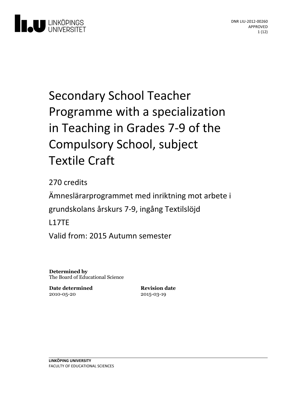

# Secondary School Teacher Programme with a specialization in Teaching in Grades 7-9 of the Compulsory School, subject Textile Craft

270 credits Ämneslärarprogrammet med inriktning motarbete i grundskolans årskurs 7-9, ingång Textilslöjd L17TE Valid from: 2015 Autumn semester

**Determined by** The Board of Educational Science

**Date determined** 2010-05-20

**Revision date** 2015-03-19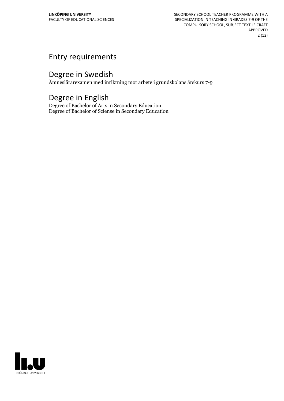SECONDARY SCHOOL TEACHER PROGRAMME WITH A SPECIALIZATION IN TEACHING IN GRADES 7-9 OF THE COMPULSORY SCHOOL, SUBJECT TEXTILE CRAFT APPROVED 2 (12)

## Entry requirements

## Degree in Swedish

Ämneslärarexamen med inriktning mot arbete i grundskolans årskurs 7-9

## Degree in English

Degree of Bachelor of Arts in Secondary Education Degree of Bachelor of Sciense in Secondary Education

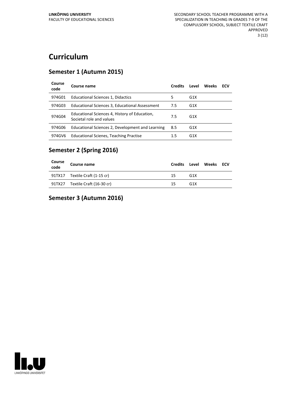# **Curriculum**

#### **Semester 1 (Autumn 2015)**

| Course<br>code | Course name                                                               | <b>Credits</b> | Level            | Weeks | ECV |
|----------------|---------------------------------------------------------------------------|----------------|------------------|-------|-----|
| 974G01         | Educational Sciences 1, Didactics                                         | 5              | G <sub>1</sub> X |       |     |
| 974G03         | Educational Sciences 3, Educational Assessment                            | 7.5            | G <sub>1</sub> X |       |     |
| 974G04         | Educational Sciences 4, History of Education,<br>Societal role and values | 7.5            | G <sub>1</sub> X |       |     |
| 974G06         | Educational Sciences 2, Development and Learning                          | 8.5            | G <sub>1</sub> X |       |     |
| 974GV6         | <b>Educational Scienes, Teaching Practise</b>                             | 1.5            | G <sub>1</sub> X |       |     |

#### **Semester 2 (Spring 2016)**

| Course<br>code | Course name                     | <b>Credits</b> |                 | Level Weeks ECV |  |
|----------------|---------------------------------|----------------|-----------------|-----------------|--|
|                | 91TX17 Textile Craft (1-15 cr)  | 15             | G <sub>1X</sub> |                 |  |
|                | 91TX27 Textile Craft (16-30 cr) | 15             | G <sub>1X</sub> |                 |  |

#### **Semester 3 (Autumn 2016)**

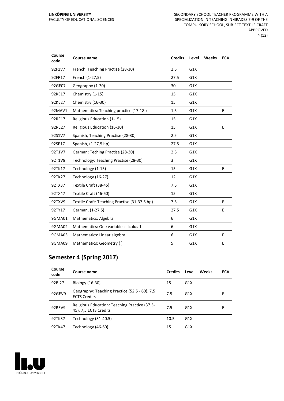| Course<br>code | Course name                                   | <b>Credits</b> | Level | Weeks | <b>ECV</b> |
|----------------|-----------------------------------------------|----------------|-------|-------|------------|
| 92F1V7         | French: Teaching Practise (28-30)             | 2.5            | G1X   |       |            |
| 92FR17         | French (1-27,5)                               | 27.5           | G1X   |       |            |
| 92GE07         | Geography (1-30)                              | 30             | G1X   |       |            |
| 92KE17         | Chemistry (1-15)                              | 15             | G1X   |       |            |
| 92KE27         | Chemistry (16-30)                             | 15             | G1X   |       |            |
| 92MAV1         | Mathematics: Teaching practice (17-18)        | 1.5            | G1X   |       | E          |
| 92RE17         | Religious Education (1-15)                    | 15             | G1X   |       |            |
| 92RE27         | Religious Education (16-30)                   | 15             | G1X   |       | E          |
| 92S1V7         | Spanish, Teaching Practise (28-30)            | 2.5            | G1X   |       |            |
| 92SP17         | Spanish, (1-27,5 hp)                          | 27.5           | G1X   |       |            |
| 92T1V7         | German: Teching Practise (28-30)              | 2.5            | G1X   |       |            |
| 92T1V8         | Technology: Teaching Practise (28-30)         | 3              | G1X   |       |            |
| 92TK17         | Technology (1-15)                             | 15             | G1X   |       | E          |
| 92TK27         | Technology (16-27)                            | 12             | G1X   |       |            |
| 92TX37         | Textile Craft (38-45)                         | 7.5            | G1X   |       |            |
| 92TX47         | Textile Craft (46-60)                         | 15             | G1X   |       |            |
| 92TXV9         | Textile Craft: Teaching Practise (31-37.5 hp) | 7.5            | G1X   |       | E          |
| 92TY17         | German, (1-27,5)                              | 27.5           | G1X   |       | E          |
| 9GMA01         | Mathematics: Algebra                          | 6              | G1X   |       |            |
| 9GMA02         | Mathematics: One variable calculus 1          | 6              | G1X   |       |            |
| 9GMA03         | Mathematics: Linear algebra                   | 6              | G1X   |       | E          |
| 9GMA09         | Mathematics: Geometry ()                      | 5              | G1X   |       | Е          |

#### **Semester 4 (Spring 2017)**

| Course<br>code | Course name                                                            | <b>Credits</b> | Level            | Weeks | ECV |
|----------------|------------------------------------------------------------------------|----------------|------------------|-------|-----|
| 92BI27         | Biology (16-30)                                                        | 15             | G <sub>1</sub> X |       |     |
| 92GEV9         | Geography: Teaching Practice (52.5 - 60), 7,5<br><b>ECTS Credits</b>   | 7.5            | G1X              |       | Е   |
| 92REV9         | Religious Education: Teaching Practice (37.5-<br>45), 7,5 ECTS Credits | 7.5            | G <sub>1</sub> X |       | Е   |
| 92TK37         | Technology (31-40.5)                                                   | 10.5           | G1X              |       |     |
| 92TK47         | Technology (46-60)                                                     | 15             | G <sub>1</sub> X |       |     |

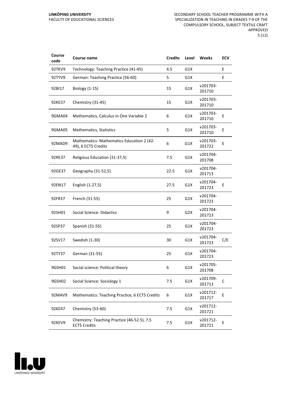| Course<br>code | Course name                                                        | <b>Credits</b> | Level            | Weeks              | <b>ECV</b> |
|----------------|--------------------------------------------------------------------|----------------|------------------|--------------------|------------|
| 92TKV9         | Technology: Teaching Practice (41-45)                              | 4.5            | G1X              |                    | E          |
| 92TYV9         | German: Teaching Practice (56-60)                                  | 5              | G1X              |                    | E          |
| 92BI17         | Biology (1-15)                                                     | 15             | G1X              | v201703-<br>201710 |            |
| 92KE37         | Chemistry (31-45)                                                  | 15             | G1X              | v201703-<br>201710 |            |
| 9GMA04         | Mathematics, Calculus in One Variable 2                            | 6              | G1X              | v201703-<br>201710 | E          |
| 9GMA05         | Mathematics, Statistics                                            | 5              | G1X              | v201703-<br>201710 | E          |
| 92MAD9         | Mathematics: Mathematics Education 2 (42-<br>49), 6 ECTS Credits   | 6              | G1X              | v201703-<br>201722 | E          |
| 92RE37         | Religious Education (31-37,5)                                      | 7.5            | G1X              | v201704-<br>201708 |            |
| 92GE37         | Geography (31-52,5)                                                | 22.5           | G1X              | v201704-<br>201713 |            |
| 92EN17         | English (1-27,5)                                                   | 27.5           | G1X              | v201704-<br>201723 | E          |
| 92FR37         | French (31-55)                                                     | 25             | G1X              | v201704-<br>201723 |            |
| 92SH01         | <b>Social Science: Didactics</b>                                   | 9              | G <sub>2</sub> X | v201704-<br>201723 |            |
| 92SP37         | Spanish (31-55)                                                    | 25             | G1X              | v201704-<br>201723 |            |
| 92SV17         | Swedish (1-30)                                                     | 30             | G1X              | v201704-<br>201723 | C/E        |
| 92TY37         | German (31-55)                                                     | 25             | G1X              | v201704-<br>201723 |            |
| 9GSH01         | Social science: Political theory                                   | 6              | G1X              | v201705-<br>201708 |            |
| 9GSH02         | Social Science: Sociology 1                                        | 7.5            | G1X              | v201709-<br>201713 | C          |
| 92MAV9         | Mathematics: Teaching Practice, 6 ECTS Credits                     | 6              | G1X              | v201712-<br>201717 | E          |
| 92KE47         | Chemistry (53-60)                                                  | 7.5            | G1X              | v201712-<br>201721 |            |
| 92KEV9         | Chemistry: Teaching Practice (46-52.5), 7,5<br><b>ECTS Credits</b> | 7.5            | G1X              | v201712-<br>201721 | E          |

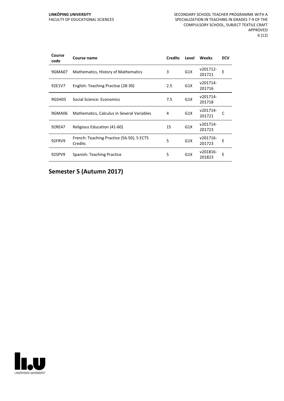| Course<br>code | Course name                                          | <b>Credits</b> | Level | <b>Weeks</b>       | <b>ECV</b> |
|----------------|------------------------------------------------------|----------------|-------|--------------------|------------|
| 9GMA07         | Mathematics, History of Mathematics                  | 3              | G1X   | v201712-<br>201721 | E          |
| 92E1V7         | English: Teaching Practise (28-30)                   | 2.5            | G1X   | v201714-<br>201716 |            |
| 9GSH03         | Social Science: Economics                            | 7.5            | G1X   | v201714-<br>201718 |            |
| 9GMA06         | Mathematics, Calculus in Several Variables           | 4              | G1X   | v201714-<br>201721 |            |
| 92RE47         | Religious Education (41-60)                          | 15             | G1X   | v201714-<br>201723 |            |
| 92FRV9         | French: Teaching Practice (56-50), 5 ECTS<br>Credits | 5              | G1X   | v201716-<br>201723 | Е          |
| 92SPV9         | Spanish: Teaching Practice                           | 5              | G1X   | v201816-<br>201823 | E          |

**Semester 5 (Autumn 2017)**

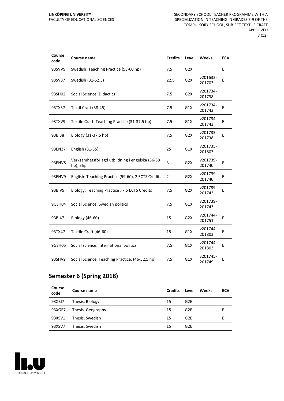| Course<br>code | Course name                                                 | <b>Credits</b> | Level            | <b>Weeks</b>       | <b>ECV</b> |
|----------------|-------------------------------------------------------------|----------------|------------------|--------------------|------------|
| 93SVV9         | Swedish: Teaching Practice (53-60 hp)                       | 7.5            | G <sub>2</sub> X |                    | E          |
| 93SV37         | Swedish (31-52.5)                                           | 22.5           | G <sub>2</sub> X | v201633-<br>201703 | E          |
| 93SH02         | <b>Social Science: Didactics</b>                            | 7.5            | G <sub>2</sub> X | v201734-<br>201738 |            |
| 93TX37         | Textil Craft (38-45)                                        | 7.5            | G1X              | v201734-<br>201743 | E          |
| 93TXV9         | Textile Craft: Teaching Practise (31-37.5 hp)               | 7.5            | G1X              | v201734-<br>201743 | Ε          |
| 93BI38         | Biology (31-37,5 hp)                                        | 7.5            | G <sub>2</sub> X | v201735-<br>201738 | E          |
| 93EN37         | English (31-55)                                             | 25             | G1X              | v201735-<br>201803 |            |
| 93ENV8         | Verksamhetsförlagd utbildning i engelska (56-58<br>hp), 3hp | 3              | G2X              | v201739-<br>201740 | E          |
| 93ENV9         | English: Teaching Practice (59-60), 2 ECTS Credits          | $\overline{2}$ | G <sub>2</sub> X | v201739-<br>201740 | E          |
| 93BIV9         | Biology: Teaching Practice, 7,5 ECTS Credits                | 7.5            | G <sub>2</sub> X | v201739-<br>201743 | E          |
| 9GSH04         | Social Science: Swedish politics                            | 7.5            | G1X              | v201739-<br>201743 |            |
| 93BI47         | Biology (46-60)                                             | 15             | G <sub>2</sub> X | v201744-<br>201751 | E          |
| 93TX47         | Textile Craft (46-60)                                       | 15             | G1X              | v201744-<br>201803 | E          |
| 9GSH05         | Social science: International politics                      | 7.5            | G1X              | v201744-<br>201803 | E          |
| 93SHV9         | Social Science, Teaching Practice, (46-52,5 hp)             | 7.5            | G1X              | v201745-<br>201749 | E          |

## **Semester 6 (Spring 2018)**

| Course<br>code | Course name       | <b>Credits</b> | Level           | <b>Weeks</b> | ECV |
|----------------|-------------------|----------------|-----------------|--------------|-----|
| 93XBI7         | Thesis, Biology   | 15             | G <sub>2E</sub> |              |     |
| 93XGE7         | Thesis, Geography | 15             | G <sub>2E</sub> |              |     |
| 93XSV1         | Thesis, Swedish   | 15             | G <sub>2E</sub> |              |     |
| 93XSV7         | Thesis, Swedish   | 15             | G <sub>2E</sub> |              |     |

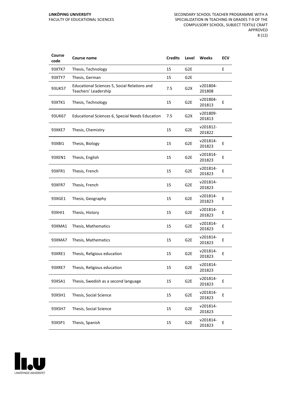| Course<br>code | Course name                                                          | <b>Credits</b> | Level            | Weeks              | ECV |
|----------------|----------------------------------------------------------------------|----------------|------------------|--------------------|-----|
| 93XTK7         | Thesis, Technology                                                   | 15             | G <sub>2E</sub>  |                    | E   |
| 93XTY7         | Thesis, German                                                       | 15             | G <sub>2E</sub>  |                    |     |
| 93UK57         | Educational Sciences 5, Social Relations and<br>Teachers' Leadership | 7.5            | G <sub>2</sub> X | v201804-<br>201808 |     |
| 93XTK1         | Thesis, Technology                                                   | 15             | G <sub>2E</sub>  | v201804-<br>201813 | E   |
| 93UK67         | Educational Sciences 6, Special Needs Education                      | 7.5            | G <sub>2</sub> X | v201809-<br>201813 |     |
| 93XKE7         | Thesis, Chemistry                                                    | 15             | G <sub>2E</sub>  | v201812-<br>201822 |     |
| 93XBI1         | Thesis, Biology                                                      | 15             | G2E              | v201814-<br>201823 | E   |
| 93XEN1         | Thesis, English                                                      | 15             | G <sub>2E</sub>  | v201814-<br>201823 | E   |
| 93XFR1         | Thesis, French                                                       | 15             | G <sub>2E</sub>  | v201814-<br>201823 | E   |
| 93XFR7         | Thesis, French                                                       | 15             | G <sub>2E</sub>  | v201814-<br>201823 |     |
| 93XGE1         | Thesis, Geography                                                    | 15             | G <sub>2E</sub>  | v201814-<br>201823 | E   |
| 93XHI1         | Thesis, History                                                      | 15             | G <sub>2E</sub>  | v201814-<br>201823 | E   |
| 93XMA1         | Thesis, Mathematics                                                  | 15             | G <sub>2E</sub>  | v201814-<br>201823 | E   |
| 93XMA7         | Thesis, Mathematics                                                  | 15             | G <sub>2E</sub>  | v201814-<br>201823 | Ε   |
| 93XRE1         | Thesis, Religious education                                          | 15             | G <sub>2E</sub>  | v201814-<br>201823 | E   |
| 93XRE7         | Thesis, Religious education                                          | 15             | G2E              | v201814-<br>201823 |     |
| 93XSA1         | Thesis, Swedish as a second language                                 | 15             | G2E              | v201814-<br>201823 | E   |
| 93XSH1         | Thesis, Social Science                                               | 15             | G <sub>2E</sub>  | v201814-<br>201823 | E   |
| 93XSH7         | Thesis, Social Science                                               | 15             | G <sub>2E</sub>  | v201814-<br>201823 |     |
| 93XSP1         | Thesis, Spanish                                                      | 15             | G <sub>2E</sub>  | v201814-<br>201823 | E   |

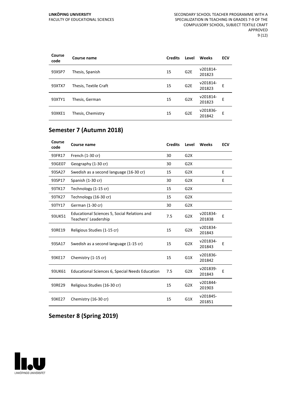| Course<br>code | Course name           | <b>Credits</b> | Level           | Weeks              | <b>ECV</b> |
|----------------|-----------------------|----------------|-----------------|--------------------|------------|
| 93XSP7         | Thesis, Spanish       | 15             | G <sub>2E</sub> | v201814-<br>201823 |            |
| 93XTX7         | Thesis, Textile Craft | 15             | G <sub>2E</sub> | v201814-<br>201823 | F          |
| 93XTY1         | Thesis, German        | 15             | G2X             | v201814-<br>201823 | E          |
| 93XKE1         | Thesis, Chemistry     | 15             | G <sub>2E</sub> | v201836-<br>201842 | E          |

## **Semester 7 (Autumn 2018)**

| Course<br>code | <b>Course name</b>                                                   | <b>Credits</b> | Level            | Weeks              | <b>ECV</b> |
|----------------|----------------------------------------------------------------------|----------------|------------------|--------------------|------------|
| 93FR17         | French (1-30 cr)                                                     | 30             | G <sub>2</sub> X |                    |            |
| 93GE07         | Geography (1-30 cr)                                                  | 30             | G2X              |                    |            |
| 93SA27         | Swedish as a second language (16-30 cr)                              | 15             | G2X              |                    | E          |
| 93SP17         | Spanish (1-30 cr)                                                    | 30             | G2X              |                    | E          |
| 93TK17         | Technology (1-15 cr)                                                 | 15             | G2X              |                    |            |
| 93TK27         | Technology (16-30 cr)                                                | 15             | G <sub>2</sub> X |                    |            |
| 93TY17         | German (1-30 cr)                                                     | 30             | G2X              |                    |            |
| 93UK51         | Educational Sciences 5, Social Relations and<br>Teachers' Leadership | 7.5            | G <sub>2</sub> X | v201834-<br>201838 | E          |
| 93RE19         | Religious Studies (1-15 cr)                                          | 15             | G2X              | v201834-<br>201843 |            |
| 93SA17         | Swedish as a second language (1-15 cr)                               | 15             | G <sub>2</sub> X | v201834-<br>201843 | E          |
| 93KE17         | Chemistry (1-15 cr)                                                  | 15             | G1X              | v201836-<br>201842 |            |
| 93UK61         | Educational Sciences 6, Special Needs Education                      | 7.5            | G2X              | v201839-<br>201843 | F          |
| 93RE29         | Religious Studies (16-30 cr)                                         | 15             | G2X              | v201844-<br>201903 |            |
| 93KE27         | Chemistry (16-30 cr)                                                 | 15             | G1X              | v201845-<br>201851 |            |

#### **Semester 8 (Spring 2019)**

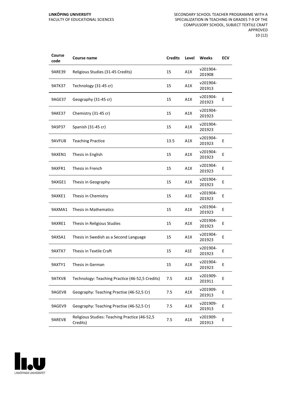#### **LINKÖPING UNIVERSITY** FACULTY OF EDUCATIONAL SCIENCES

| Course<br>code | Course name                                               | <b>Credits</b> | Level | Weeks              | ECV |
|----------------|-----------------------------------------------------------|----------------|-------|--------------------|-----|
| 9ARE39         | Religious Studies (31-45 Credits)                         | 15             | A1X   | v201904-<br>201908 |     |
| 9ATK37         | Technology (31-45 cr)                                     | 15             | A1X   | v201904-<br>201913 |     |
| 9AGE37         | Geography (31-45 cr)                                      | 15             | A1X   | v201904-<br>201923 | E   |
| 9AKE37         | Chemistry (31-45 cr)                                      | 15             | A1X   | v201904-<br>201923 |     |
| 9ASP37         | Spanish (31-45 cr)                                        | 15             | A1X   | v201904-<br>201923 |     |
| 9AVFU8         | <b>Teaching Practice</b>                                  | 13.5           | A1X   | v201904-<br>201923 | E   |
| 9AXEN1         | Thesis in English                                         | 15             | A1X   | v201904-<br>201923 | E   |
| 9AXFR1         | Thesis in French                                          | 15             | A1X   | v201904-<br>201923 | Ε   |
| 9AXGE1         | Thesis in Geography                                       | 15             | A1X   | v201904-<br>201923 | E   |
| 9AXKE1         | Thesis in Chemistry                                       | 15             | A1E   | v201904-<br>201923 | E   |
| 9AXMA1         | Thesis in Mathematics                                     | 15             | A1X   | v201904-<br>201923 | Е   |
| 9AXRE1         | Thesis in Religious Studies                               | 15             | A1X   | v201904-<br>201923 | E   |
| 9AXSA1         | Thesis in Swedish as a Second Language                    | 15             | A1X   | v201904-<br>201923 | E   |
| 9AXTX7         | Thesis in Textile Craft                                   | 15             | A1E   | v201904-<br>201923 | Ε   |
| 9AXTY1         | Thesis in German                                          | 15             | A1X   | v201904-<br>201923 | Ε   |
| 9ATKV8         | Technology: Teaching Practice (46-52,5 Credits)           | 7.5            | A1X   | v201909-<br>201911 | E   |
| 9AGEV8         | Geography: Teaching Practise (46-52,5 Cr)                 | 7.5            | A1X   | v201909-<br>201913 | E   |
| 9AGEV9         | Geography: Teaching Practise (46-52,5 Cr)                 | 7.5            | A1X   | v201909-<br>201913 | E   |
| 9AREV8         | Religious Studies: Teaching Practice (46-52,5<br>Credits) | 7.5            | A1X   | v201909-<br>201913 | E   |

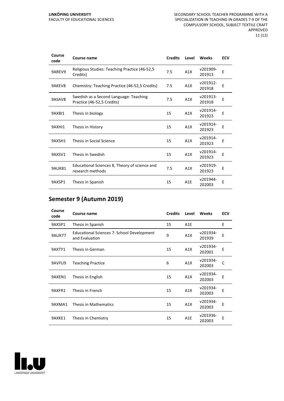#### **LINKÖPING UNIVERSITY** FACULTY OF EDUCATIONAL SCIENCES

| Course<br>code | <b>Course name</b>                                                   | <b>Credits</b> | Level            | Weeks              | <b>ECV</b> |
|----------------|----------------------------------------------------------------------|----------------|------------------|--------------------|------------|
| 9AREV9         | Religious Studies: Teaching Practice (46-52,5)<br>Credits)           | 7.5            | A1X              | v201909-<br>201913 | E          |
| 9AKEV8         | Chemistry: Teaching Practice (46-52,5 Credits)                       | 7.5            | A1X              | v201912-<br>201918 | E          |
| 9ASAV8         | Swedish as a Second Language: Teaching<br>Practice (46-52,5 Credits) | 7.5            | A1X              | v201913-<br>201918 | E          |
| 9AXBI1         | Thesis in biology                                                    | 15             | A1X              | v201914-<br>201923 | E          |
| 9AXHI1         | Thesis in History                                                    | 15             | A1X              | v201914-<br>201923 | Е          |
| 9AXSH1         | Thesis in Social Science                                             | 15             | A1X              | v201914-<br>201923 | Ε          |
| 9AXSV1         | Thesis in Swedish                                                    | 15             | A1X              | v201914-<br>201923 | E          |
| 9AUK81         | Educational Sciences 8, Theory of science and<br>research methods    | 7.5            | A1X              | v201919-<br>201923 | E          |
| 9AXSP1         | Thesis in Spanish                                                    | 15             | A <sub>1</sub> E | v201944-<br>202003 | E          |

## **Semester 9 (Autumn 2019)**

| Course<br>code | Course name                                                  | <b>Credits</b> | Level | Weeks              | <b>ECV</b> |
|----------------|--------------------------------------------------------------|----------------|-------|--------------------|------------|
| 9AXSP1         | Thesis in Spanish                                            | 15             | A1E   |                    | E          |
| <b>9AUK77</b>  | Educational Sciences 7: School Development<br>and Evaluation | 9              | A1X   | v201934-<br>201939 | E          |
| 9AXTY1         | Thesis in German                                             | 15             | A1X   | v201934-<br>202001 | E          |
| 9AVFU9         | <b>Teaching Practice</b>                                     | 6              | A1X   | v201934-<br>202003 | C          |
| 9AXEN1         | Thesis in English                                            | 15             | A1X   | v201934-<br>202003 | E          |
| 9AXFR1         | Thesis in French                                             | 15             | A1X   | v201934-<br>202003 | E          |
| 9AXMA1         | Thesis in Mathematics                                        | 15             | A1X   | v201934-<br>202003 | E          |
| 9AXKE1         | Thesis in Chemistry                                          | 15             | A1E   | v201936-<br>202003 | E          |